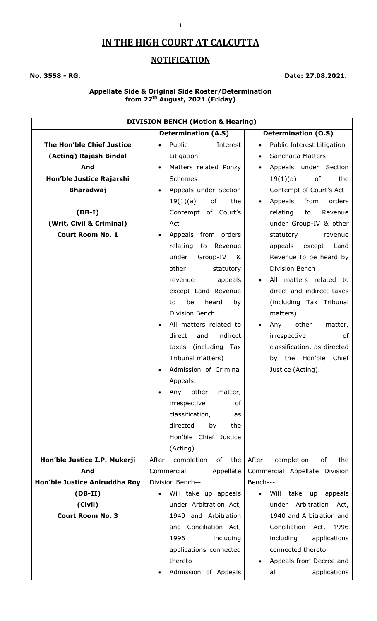# **IN THE HIGH COURT AT CALCUTTA**

## **NOTIFICATION**

### **No. 3558 - RG. Date: 27.08.2021.**

#### **Appellate Side & Original Side Roster/Determination from 27th August, 2021 (Friday)**

| <b>DIVISION BENCH (Motion &amp; Hearing)</b> |                                  |                                                                |  |
|----------------------------------------------|----------------------------------|----------------------------------------------------------------|--|
|                                              | <b>Determination (A.S)</b>       | <b>Determination (O.S)</b>                                     |  |
| The Hon'ble Chief Justice                    | Public<br>Interest               | Public Interest Litigation<br>$\bullet$                        |  |
| (Acting) Rajesh Bindal                       | Litigation                       | Sanchaita Matters<br>$\bullet$                                 |  |
| And                                          | Matters related Ponzy            | Appeals under Section<br>$\bullet$                             |  |
| Hon'ble Justice Rajarshi                     | Schemes                          | 19(1)(a)<br>of<br>the                                          |  |
| <b>Bharadwaj</b>                             | Appeals under Section            | Contempt of Court's Act                                        |  |
|                                              | 19(1)(a)<br>of<br>the            | Appeals<br>from<br>orders<br>$\bullet$                         |  |
| $(DB-I)$                                     | Contempt of Court's              | Revenue<br>relating<br>to                                      |  |
| (Writ, Civil & Criminal)                     | Act                              | under Group-IV & other                                         |  |
| <b>Court Room No. 1</b>                      | Appeals from orders              | statutory<br>revenue                                           |  |
|                                              | relating<br>Revenue<br>to        | appeals<br>except<br>Land                                      |  |
|                                              | under<br>Group-IV<br>&           | Revenue to be heard by                                         |  |
|                                              | other<br>statutory               | Division Bench                                                 |  |
|                                              | appeals<br>revenue               | All matters related to<br>$\bullet$                            |  |
|                                              | except Land Revenue              | direct and indirect taxes                                      |  |
|                                              | be<br>heard<br>to<br>by          | (including Tax Tribunal                                        |  |
|                                              | Division Bench                   | matters)                                                       |  |
|                                              | All matters related to           | other<br>Any<br>matter,                                        |  |
|                                              | indirect<br>direct<br>and        | irrespective<br>of                                             |  |
|                                              | taxes (including Tax             | classification, as directed                                    |  |
|                                              | Tribunal matters)                | by the Hon'ble<br>Chief                                        |  |
|                                              | Admission of Criminal            | Justice (Acting).                                              |  |
|                                              | Appeals.                         |                                                                |  |
|                                              | Any other matter,                |                                                                |  |
|                                              | irrespective<br>of               |                                                                |  |
|                                              | classification,<br>as            |                                                                |  |
|                                              | directed<br>by<br>the            |                                                                |  |
|                                              | Hon'ble Chief Justice            |                                                                |  |
|                                              | (Acting).                        |                                                                |  |
| Hon'ble Justice I.P. Mukerji                 | After<br>of<br>the<br>completion | After<br>completion<br>of<br>the                               |  |
| And                                          | Commercial<br>Appellate          | Commercial Appellate Division                                  |  |
| Hon'ble Justice Aniruddha Roy                | Division Bench-                  | Bench---                                                       |  |
| $(DB-II)$                                    | Will take up appeals             | take<br>appeals<br>Will<br>$\mathsf{u}\mathsf{p}$<br>$\bullet$ |  |
| (Civil)                                      | under Arbitration Act,           | Arbitration<br>under<br>Act,                                   |  |
| <b>Court Room No. 3</b>                      | 1940 and Arbitration             | 1940 and Arbitration and                                       |  |
|                                              | and Conciliation Act,            | Conciliation<br>Act,<br>1996                                   |  |
|                                              | 1996<br>including                | including<br>applications                                      |  |
|                                              | applications connected           | connected thereto                                              |  |
|                                              | thereto                          | Appeals from Decree and                                        |  |
|                                              | Admission of Appeals             | all<br>applications                                            |  |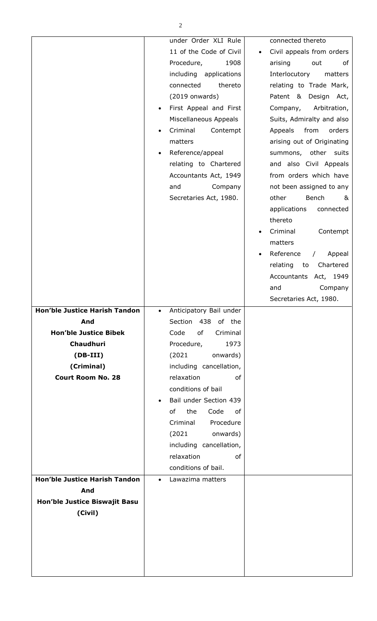|                                      | under Order XLI Rule                          | connected thereto                              |
|--------------------------------------|-----------------------------------------------|------------------------------------------------|
|                                      | 11 of the Code of Civil                       | Civil appeals from orders                      |
|                                      | Procedure,<br>1908                            | arising<br>out<br>of                           |
|                                      | including applications                        | Interlocutory matters                          |
|                                      | thereto<br>connected                          | relating to Trade Mark,                        |
|                                      | $(2019$ onwards)                              | Patent & Design Act,                           |
|                                      | First Appeal and First                        | Company,<br>Arbitration,                       |
|                                      | Miscellaneous Appeals                         | Suits, Admiralty and also                      |
|                                      | Criminal<br>Contempt                          | Appeals<br>from<br>orders                      |
|                                      | matters                                       | arising out of Originating                     |
|                                      | Reference/appeal                              | summons, other suits                           |
|                                      | relating to Chartered                         | and also Civil Appeals                         |
|                                      | Accountants Act, 1949                         | from orders which have                         |
|                                      | and<br>Company                                | not been assigned to any                       |
|                                      | Secretaries Act, 1980.                        | Bench<br>other<br>&                            |
|                                      |                                               | applications<br>connected                      |
|                                      |                                               | thereto                                        |
|                                      |                                               | Criminal<br>Contempt                           |
|                                      |                                               | matters                                        |
|                                      |                                               | Reference<br>Appeal<br>$\sqrt{2}$<br>$\bullet$ |
|                                      |                                               | Chartered<br>relating to                       |
|                                      |                                               | Accountants Act, 1949                          |
|                                      |                                               | and<br>Company                                 |
|                                      |                                               | Secretaries Act, 1980.                         |
|                                      |                                               |                                                |
|                                      |                                               |                                                |
| Hon'ble Justice Harish Tandon<br>And | Anticipatory Bail under<br>Section 438 of the |                                                |
| <b>Hon'ble Justice Bibek</b>         | Code<br>of<br>Criminal                        |                                                |
| Chaudhuri                            | Procedure,<br>1973                            |                                                |
| $(DB-III)$                           | onwards)<br>(2021)                            |                                                |
| (Criminal)                           | including cancellation,                       |                                                |
| <b>Court Room No. 28</b>             | relaxation<br>of                              |                                                |
|                                      | conditions of bail                            |                                                |
|                                      | Bail under Section 439                        |                                                |
|                                      | the<br>Code<br>of<br>оf                       |                                                |
|                                      | Criminal<br>Procedure                         |                                                |
|                                      | (2021)<br>onwards)                            |                                                |
|                                      | including cancellation,                       |                                                |
|                                      | relaxation<br>of                              |                                                |
|                                      | conditions of bail.                           |                                                |
| <b>Hon'ble Justice Harish Tandon</b> | Lawazima matters<br>$\bullet$                 |                                                |
| And                                  |                                               |                                                |
| Hon'ble Justice Biswajit Basu        |                                               |                                                |
| (Civil)                              |                                               |                                                |
|                                      |                                               |                                                |
|                                      |                                               |                                                |
|                                      |                                               |                                                |
|                                      |                                               |                                                |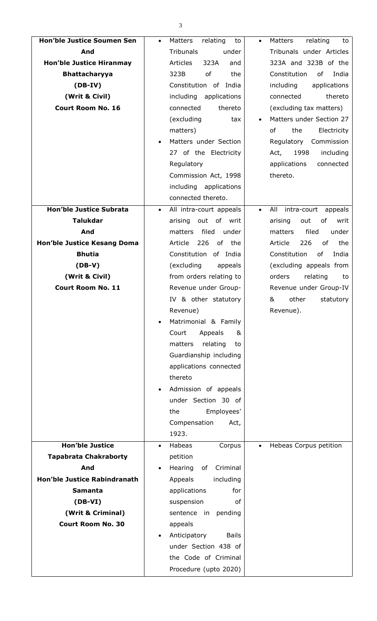| ٦                 |
|-------------------|
| ۰,<br>I<br>×<br>v |
|                   |

| <b>Hon'ble Justice Soumen Sen</b>   | Matters<br>relating<br>to<br>$\bullet$ | Matters<br>relating<br>to<br>$\bullet$     |
|-------------------------------------|----------------------------------------|--------------------------------------------|
| And                                 | <b>Tribunals</b><br>under              | Tribunals under Articles                   |
| <b>Hon'ble Justice Hiranmay</b>     | 323A<br><b>Articles</b><br>and         | 323A and 323B of the                       |
| <b>Bhattacharyya</b>                | of<br>323B<br>the                      | Constitution<br>of<br>India                |
| $(DB-IV)$                           | Constitution of India                  | including<br>applications                  |
| (Writ & Civil)                      | including applications                 | thereto<br>connected                       |
| <b>Court Room No. 16</b>            | thereto<br>connected                   | (excluding tax matters)                    |
|                                     | (excluding<br>tax                      | Matters under Section 27                   |
|                                     | matters)                               | of<br>the<br>Electricity                   |
|                                     | Matters under Section                  | Commission<br>Regulatory                   |
|                                     | 27 of the Electricity                  | 1998<br>Act,<br>including                  |
|                                     | Regulatory                             | applications<br>connected                  |
|                                     | Commission Act, 1998                   | thereto.                                   |
|                                     | including applications                 |                                            |
|                                     | connected thereto.                     |                                            |
| <b>Hon'ble Justice Subrata</b>      | All intra-court appeals<br>$\bullet$   | intra-court<br>All<br>appeals<br>$\bullet$ |
| <b>Talukdar</b>                     | arising<br>out of writ                 | arising<br>out<br>of<br>writ               |
| And                                 | filed<br>under<br>matters              | filed<br>under<br>matters                  |
| Hon'ble Justice Kesang Doma         | Article<br>226<br>of the               | 226<br>Article<br>of<br>the                |
| <b>Bhutia</b>                       | Constitution of India                  | Constitution<br>of<br>India                |
|                                     |                                        |                                            |
| $(DB-V)$                            | (excluding<br>appeals                  | (excluding appeals from                    |
| (Writ & Civil)                      | from orders relating to                | orders<br>relating<br>to                   |
| <b>Court Room No. 11</b>            | Revenue under Group-                   | Revenue under Group-IV                     |
|                                     | IV & other statutory                   | &<br>other<br>statutory                    |
|                                     | Revenue)                               | Revenue).                                  |
|                                     | Matrimonial & Family                   |                                            |
|                                     | Court<br>Appeals<br>&                  |                                            |
|                                     | matters<br>relating<br>to              |                                            |
|                                     | Guardianship including                 |                                            |
|                                     | applications connected                 |                                            |
|                                     | thereto                                |                                            |
|                                     | Admission of appeals                   |                                            |
|                                     | under Section 30 of                    |                                            |
|                                     | Employees'<br>the                      |                                            |
|                                     | Compensation<br>Act,                   |                                            |
|                                     | 1923.                                  |                                            |
| <b>Hon'ble Justice</b>              | Habeas<br>Corpus<br>$\bullet$          | Hebeas Corpus petition<br>$\bullet$        |
| <b>Tapabrata Chakraborty</b>        | petition                               |                                            |
| And                                 | Hearing<br>Criminal<br>of              |                                            |
| <b>Hon'ble Justice Rabindranath</b> | Appeals<br>including                   |                                            |
| <b>Samanta</b>                      | applications<br>for                    |                                            |
| $(DB-VI)$                           | suspension<br>οf                       |                                            |
| (Writ & Criminal)                   | sentence in<br>pending                 |                                            |
| <b>Court Room No. 30</b>            | appeals                                |                                            |
|                                     | Anticipatory<br><b>Bails</b>           |                                            |
|                                     | under Section 438 of                   |                                            |
|                                     |                                        |                                            |
|                                     | the Code of Criminal                   |                                            |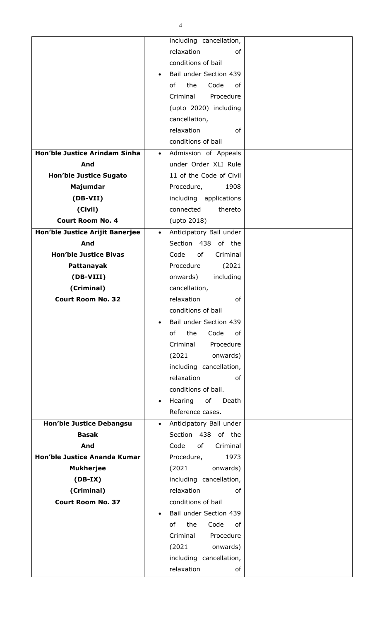|                                 |           | including cancellation, |  |
|---------------------------------|-----------|-------------------------|--|
|                                 |           |                         |  |
|                                 |           | relaxation<br>of        |  |
|                                 |           | conditions of bail      |  |
|                                 |           | Bail under Section 439  |  |
|                                 |           | of<br>the<br>Code<br>оf |  |
|                                 |           | Criminal<br>Procedure   |  |
|                                 |           | (upto 2020) including   |  |
|                                 |           | cancellation,           |  |
|                                 |           | relaxation<br>of        |  |
|                                 |           | conditions of bail      |  |
| Hon'ble Justice Arindam Sinha   | $\bullet$ | Admission of Appeals    |  |
| And                             |           | under Order XLI Rule    |  |
| <b>Hon'ble Justice Sugato</b>   |           | 11 of the Code of Civil |  |
| Majumdar                        |           | Procedure,<br>1908      |  |
| $(DB-VII)$                      |           | including applications  |  |
| (Civil)                         |           | connected<br>thereto    |  |
| <b>Court Room No. 4</b>         |           | (upto 2018)             |  |
| Hon'ble Justice Arijit Banerjee | $\bullet$ | Anticipatory Bail under |  |
| And                             |           | Section 438 of the      |  |
| <b>Hon'ble Justice Bivas</b>    |           | Code<br>of<br>Criminal  |  |
|                                 |           | Procedure               |  |
| Pattanayak                      |           | (2021)                  |  |
| (DB-VIII)                       |           | including<br>onwards)   |  |
| (Criminal)                      |           | cancellation,           |  |
| <b>Court Room No. 32</b>        |           | relaxation<br>оf        |  |
|                                 |           | conditions of bail      |  |
|                                 |           | Bail under Section 439  |  |
|                                 |           | of<br>the<br>Code<br>of |  |
|                                 |           | Criminal<br>Procedure   |  |
|                                 |           | (2021)<br>onwards)      |  |
|                                 |           | including cancellation, |  |
|                                 |           | relaxation<br>of        |  |
|                                 |           | conditions of bail.     |  |
|                                 | $\bullet$ | Hearing<br>of<br>Death  |  |
|                                 |           | Reference cases.        |  |
| <b>Hon'ble Justice Debangsu</b> | $\bullet$ | Anticipatory Bail under |  |
| <b>Basak</b>                    |           | Section 438 of the      |  |
| And                             |           | of<br>Code<br>Criminal  |  |
| Hon'ble Justice Ananda Kumar    |           | Procedure,<br>1973      |  |
| <b>Mukherjee</b>                |           | (2021)<br>onwards)      |  |
| $(DB-IX)$                       |           | including cancellation, |  |
| (Criminal)                      |           | relaxation<br>of        |  |
| <b>Court Room No. 37</b>        |           | conditions of bail      |  |
|                                 |           | Bail under Section 439  |  |
|                                 |           |                         |  |
|                                 |           | Code<br>of<br>the<br>оf |  |
|                                 |           | Criminal<br>Procedure   |  |
|                                 |           | (2021)<br>onwards)      |  |
|                                 |           | including cancellation, |  |
|                                 |           | relaxation<br>of        |  |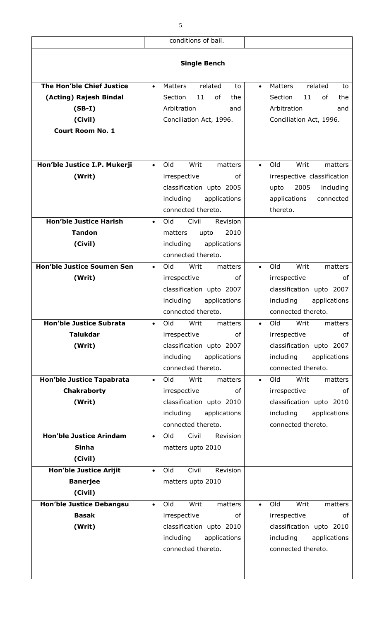|                                   | conditions of bail.                   |                                              |
|-----------------------------------|---------------------------------------|----------------------------------------------|
|                                   |                                       |                                              |
|                                   | <b>Single Bench</b>                   |                                              |
|                                   |                                       |                                              |
| The Hon'ble Chief Justice         | Matters<br>related<br>to<br>$\bullet$ | related<br><b>Matters</b><br>to<br>$\bullet$ |
| (Acting) Rajesh Bindal            | Section<br>11<br>of<br>the            | Section<br>11<br>οf<br>the                   |
| $(SB-I)$                          | Arbitration<br>and                    | Arbitration<br>and                           |
| (Civil)                           | Conciliation Act, 1996.               | Conciliation Act, 1996.                      |
| <b>Court Room No. 1</b>           |                                       |                                              |
|                                   |                                       |                                              |
|                                   |                                       |                                              |
| Hon'ble Justice I.P. Mukerji      | Writ<br>Old<br>matters<br>$\bullet$   | Writ<br>Old<br>matters                       |
| (Writ)                            | irrespective<br>of                    | irrespective classification                  |
|                                   | classification upto 2005              | 2005<br>upto<br>including                    |
|                                   | including<br>applications             | applications<br>connected                    |
|                                   | connected thereto.                    | thereto.                                     |
| <b>Hon'ble Justice Harish</b>     | Old<br>Civil<br>Revision<br>$\bullet$ |                                              |
| <b>Tandon</b>                     | 2010<br>matters<br>upto               |                                              |
| (Civil)                           | including<br>applications             |                                              |
|                                   | connected thereto.                    |                                              |
| <b>Hon'ble Justice Soumen Sen</b> | Old<br>Writ<br>matters<br>$\bullet$   | Writ<br>Old<br>matters<br>$\bullet$          |
| (Writ)                            | irrespective<br>οf                    | irrespective<br>οf                           |
|                                   | classification upto 2007              | classification upto 2007                     |
|                                   | including<br>applications             | including<br>applications                    |
|                                   | connected thereto.                    | connected thereto.                           |
| <b>Hon'ble Justice Subrata</b>    | Old<br>Writ<br>matters<br>$\bullet$   | Old<br>Writ<br>matters<br>$\bullet$          |
| <b>Talukdar</b>                   | irrespective<br>оf                    | irrespective<br>of                           |
| (Writ)                            | classification upto 2007              | classification upto 2007                     |
|                                   | including<br>applications             | including<br>applications                    |
|                                   | connected thereto.                    | connected thereto.                           |
| Hon'ble Justice Tapabrata         | Old<br>Writ<br>matters<br>$\bullet$   | Old<br>Writ<br>matters<br>$\bullet$          |
| <b>Chakraborty</b>                | of<br>irrespective                    | irrespective<br>of                           |
| (Writ)                            | classification upto 2010              | classification upto 2010                     |
|                                   | including<br>applications             | including<br>applications                    |
|                                   | connected thereto.                    | connected thereto.                           |
| <b>Hon'ble Justice Arindam</b>    | Old<br>Civil<br>Revision<br>$\bullet$ |                                              |
| <b>Sinha</b>                      | matters upto 2010                     |                                              |
| (Civil)                           |                                       |                                              |
| <b>Hon'ble Justice Arijit</b>     | Civil<br>Revision<br>Old<br>$\bullet$ |                                              |
| <b>Banerjee</b>                   | matters upto 2010                     |                                              |
| (Civil)                           |                                       |                                              |
| <b>Hon'ble Justice Debangsu</b>   | Writ<br>Old<br>matters<br>$\bullet$   | Writ<br>Old<br>matters                       |
| <b>Basak</b>                      | irrespective<br>of                    | irrespective<br>of                           |
| (Writ)                            | classification upto 2010              | classification upto 2010                     |
|                                   | including<br>applications             | including<br>applications                    |
|                                   | connected thereto.                    | connected thereto.                           |
|                                   |                                       |                                              |
|                                   |                                       |                                              |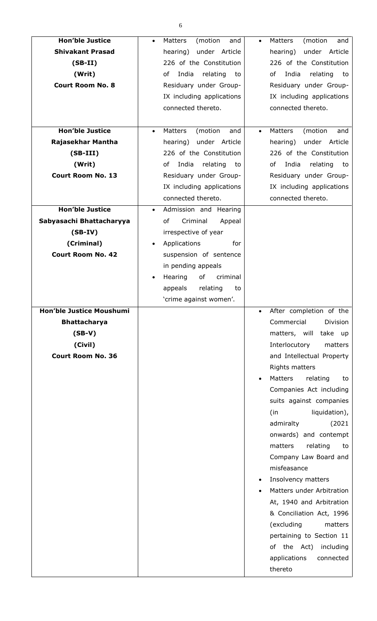| <b>Hon'ble Justice</b><br><b>Shivakant Prasad</b><br>$(SB-II)$<br>(Writ)<br><b>Court Room No. 8</b><br><b>Hon'ble Justice</b><br>Rajasekhar Mantha<br>$(SB-III)$<br>(Writ)<br><b>Court Room No. 13</b><br><b>Hon'ble Justice</b><br>Sabyasachi Bhattacharyya<br>$(SB-IV)$<br>(Criminal)<br><b>Court Room No. 42</b> | (motion<br>Matters<br>and<br>$\bullet$<br>hearing) under Article<br>226 of the Constitution<br>India<br>of<br>relating<br>to<br>Residuary under Group-<br>IX including applications<br>connected thereto.<br>Matters<br>(motion<br>and<br>$\bullet$<br>hearing) under Article<br>226 of the Constitution<br>India<br>relating<br>of<br>to<br>Residuary under Group-<br>IX including applications<br>connected thereto.<br>Admission and Hearing<br>$\bullet$<br>of<br>Criminal<br>Appeal<br>irrespective of year<br>Applications<br>for<br>$\bullet$<br>suspension of sentence<br>in pending appeals<br>Hearing<br>of<br>criminal<br>$\bullet$<br>appeals<br>relating<br>to<br>'crime against women'. | Matters<br>(motion<br>and<br>under Article<br>hearing)<br>226 of the Constitution<br>India<br>of<br>relating<br>to<br>Residuary under Group-<br>IX including applications<br>connected thereto.<br>Matters<br>(motion<br>and<br>$\bullet$<br>hearing)<br>under Article<br>226 of the Constitution<br>India<br>оf<br>relating<br>to<br>Residuary under Group-<br>IX including applications<br>connected thereto.                                                                                                                                                                                                                                                          |
|---------------------------------------------------------------------------------------------------------------------------------------------------------------------------------------------------------------------------------------------------------------------------------------------------------------------|-------------------------------------------------------------------------------------------------------------------------------------------------------------------------------------------------------------------------------------------------------------------------------------------------------------------------------------------------------------------------------------------------------------------------------------------------------------------------------------------------------------------------------------------------------------------------------------------------------------------------------------------------------------------------------------------------------|--------------------------------------------------------------------------------------------------------------------------------------------------------------------------------------------------------------------------------------------------------------------------------------------------------------------------------------------------------------------------------------------------------------------------------------------------------------------------------------------------------------------------------------------------------------------------------------------------------------------------------------------------------------------------|
| <b>Hon'ble Justice Moushumi</b><br><b>Bhattacharya</b><br>$(SB-V)$<br>(Civil)<br><b>Court Room No. 36</b>                                                                                                                                                                                                           |                                                                                                                                                                                                                                                                                                                                                                                                                                                                                                                                                                                                                                                                                                       | After completion of the<br>Commercial<br><b>Division</b><br>matters, will<br>take up<br>Interlocutory<br>matters<br>and Intellectual Property<br><b>Rights matters</b><br><b>Matters</b><br>relating<br>to<br>$\bullet$<br>Companies Act including<br>suits against companies<br>liquidation),<br>(in<br>admiralty<br>(2021)<br>onwards) and contempt<br>matters<br>relating<br>to<br>Company Law Board and<br>misfeasance<br>Insolvency matters<br>$\bullet$<br>Matters under Arbitration<br>At, 1940 and Arbitration<br>& Conciliation Act, 1996<br>(excluding<br>matters<br>pertaining to Section 11<br>of the Act) including<br>applications<br>connected<br>thereto |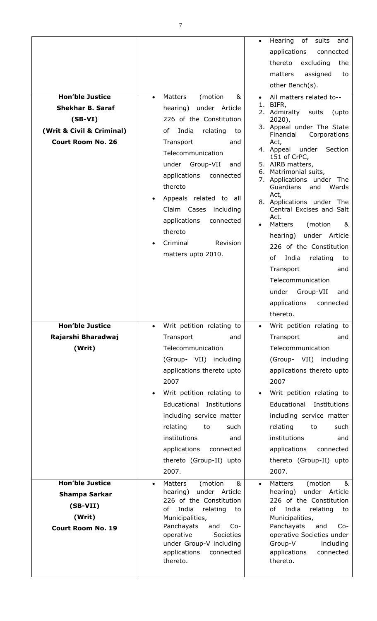|                                                                                                                         |                                                                                                                                                                                                                                                                                                                                                                                   | Hearing<br>of<br>suits<br>and<br>applications<br>connected<br>thereto<br>excluding<br>the<br>matters<br>assigned<br>to<br>other Bench(s).                                                                                                                                                                                                                                                                                                                                                                                                                                                                                       |
|-------------------------------------------------------------------------------------------------------------------------|-----------------------------------------------------------------------------------------------------------------------------------------------------------------------------------------------------------------------------------------------------------------------------------------------------------------------------------------------------------------------------------|---------------------------------------------------------------------------------------------------------------------------------------------------------------------------------------------------------------------------------------------------------------------------------------------------------------------------------------------------------------------------------------------------------------------------------------------------------------------------------------------------------------------------------------------------------------------------------------------------------------------------------|
| <b>Hon'ble Justice</b><br><b>Shekhar B. Saraf</b><br>$(SB-VI)$<br>(Writ & Civil & Criminal)<br><b>Court Room No. 26</b> | Matters<br>(motion<br>&<br>$\bullet$<br>hearing) under Article<br>226 of the Constitution<br>India<br>of<br>relating<br>to<br>Transport<br>and<br>Telecommunication<br>under Group-VII<br>and<br>applications<br>connected<br>thereto<br>Appeals related to all<br>Claim Cases<br>including<br>applications<br>connected<br>thereto<br>Criminal<br>Revision<br>matters upto 2010. | All matters related to--<br>BIFR,<br>1.<br>2. Admiralty<br>suits<br>(upto<br>$2020$ ),<br>3. Appeal under The State<br>Financial<br>Corporations<br>Act,<br>4. Appeal<br>under<br>Section<br>151 of CrPC,<br>5. AIRB matters,<br>Matrimonial suits,<br>6.<br>7. Applications under The<br>Guardians<br>and<br>Wards<br>Act,<br>8. Applications under The<br>Central Excises and Salt<br>Act.<br>Matters<br>(motion<br>&<br>under Article<br>hearing)<br>226 of the Constitution<br>of<br>India<br>relating<br>to<br>Transport<br>and<br>Telecommunication<br>Group-VII<br>under<br>and<br>applications<br>connected<br>thereto. |
| <b>Hon'ble Justice</b><br>Rajarshi Bharadwaj<br>(Writ)                                                                  | Writ petition relating to<br>$\bullet$<br>Transport<br>and<br>Telecommunication<br>(Group- VII) including<br>applications thereto upto<br>2007<br>Writ petition relating to<br>Educational Institutions<br>including service matter<br>relating<br>to<br>such<br>institutions<br>and<br>applications<br>connected<br>thereto (Group-II) upto<br>2007.                             | Writ petition relating to<br>$\bullet$<br>Transport<br>and<br>Telecommunication<br>(Group- VII) including<br>applications thereto upto<br>2007<br>Writ petition relating to<br>Educational<br>Institutions<br>including service matter<br>relating<br>to<br>such<br>institutions<br>and<br>applications<br>connected<br>thereto (Group-II) upto<br>2007.                                                                                                                                                                                                                                                                        |
| <b>Hon'ble Justice</b><br><b>Shampa Sarkar</b><br>$(SB-VII)$<br>(Writ)<br><b>Court Room No. 19</b>                      | 8 <sub>k</sub><br>Matters<br>(motion<br>$\bullet$<br>under Article<br>hearing)<br>226 of the Constitution<br>of<br>India<br>relating<br>to<br>Municipalities,<br>Panchayats<br>and<br>$Co-$<br>operative<br>Societies<br>under Group-V including<br>applications<br>connected<br>thereto.                                                                                         | Matters<br>(motion<br>&<br>$\bullet$<br>under Article<br>hearing)<br>226 of the Constitution<br>of<br>India<br>relating<br>to<br>Municipalities,<br>Panchayats<br>and<br>$Co-$<br>operative Societies under<br>Group-V<br>including<br>applications<br>connected<br>thereto.                                                                                                                                                                                                                                                                                                                                                    |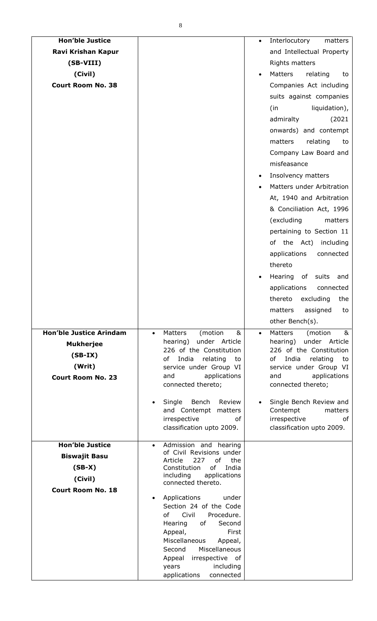| <b>Hon'ble Justice</b>         |                                                                | Interlocutory<br>matters                                 |
|--------------------------------|----------------------------------------------------------------|----------------------------------------------------------|
| Ravi Krishan Kapur             |                                                                | and Intellectual Property                                |
| (SB-VIII)                      |                                                                | Rights matters                                           |
| (Civil)                        |                                                                | Matters<br>relating<br>to                                |
| <b>Court Room No. 38</b>       |                                                                | Companies Act including                                  |
|                                |                                                                | suits against companies                                  |
|                                |                                                                | liquidation),<br>(in                                     |
|                                |                                                                | admiralty<br>(2021)                                      |
|                                |                                                                | onwards) and contempt                                    |
|                                |                                                                | matters<br>relating<br>to                                |
|                                |                                                                |                                                          |
|                                |                                                                | Company Law Board and                                    |
|                                |                                                                | misfeasance                                              |
|                                |                                                                | Insolvency matters<br>$\bullet$                          |
|                                |                                                                | Matters under Arbitration                                |
|                                |                                                                | At, 1940 and Arbitration                                 |
|                                |                                                                | & Conciliation Act, 1996                                 |
|                                |                                                                | (excluding<br>matters                                    |
|                                |                                                                | pertaining to Section 11                                 |
|                                |                                                                | of the Act) including                                    |
|                                |                                                                | applications<br>connected                                |
|                                |                                                                | thereto                                                  |
|                                |                                                                | Hearing of suits<br>and                                  |
|                                |                                                                | applications<br>connected                                |
|                                |                                                                | thereto<br>excluding<br>the                              |
|                                |                                                                | matters assigned to                                      |
|                                |                                                                | other Bench(s).                                          |
| <b>Hon'ble Justice Arindam</b> | Matters<br>(motion<br>&<br>$\bullet$                           | Matters<br>(motion<br>&<br>$\bullet$                     |
| <b>Mukherjee</b>               | hearing) under Article                                         | under Article<br>hearing)                                |
| $(SB-IX)$                      | 226 of the Constitution<br>India<br>of<br>relating<br>to       | 226 of the Constitution<br>India<br>of<br>relating<br>to |
| (Writ)                         | service under Group VI                                         | service under Group VI                                   |
| <b>Court Room No. 23</b>       | applications<br>and                                            | applications<br>and                                      |
|                                | connected thereto;                                             | connected thereto;                                       |
|                                | Single Bench<br>Review<br>$\bullet$                            | Single Bench Review and                                  |
|                                | and Contempt<br>matters<br>irrespective<br>of                  | Contempt<br>matters<br>irrespective<br>of                |
|                                | classification upto 2009.                                      | classification upto 2009.                                |
|                                |                                                                |                                                          |
| <b>Hon'ble Justice</b>         | Admission and hearing<br>$\bullet$<br>of Civil Revisions under |                                                          |
| <b>Biswajit Basu</b>           | Article<br>227<br>of<br>the                                    |                                                          |
| $(SB-X)$                       | of<br>Constitution<br>India                                    |                                                          |
| (Civil)                        | including<br>applications<br>connected thereto.                |                                                          |
| <b>Court Room No. 18</b>       |                                                                |                                                          |
|                                | Applications<br>under<br>$\bullet$<br>Section 24 of the Code   |                                                          |
|                                | Civil<br>Procedure.<br>of                                      |                                                          |
|                                | of<br>Second<br>Hearing                                        |                                                          |
|                                | First<br>Appeal,                                               |                                                          |
|                                | Miscellaneous<br>Appeal,<br>Miscellaneous<br>Second            |                                                          |
|                                | Appeal irrespective of                                         |                                                          |
|                                | including<br>years                                             |                                                          |
|                                | applications<br>connected                                      |                                                          |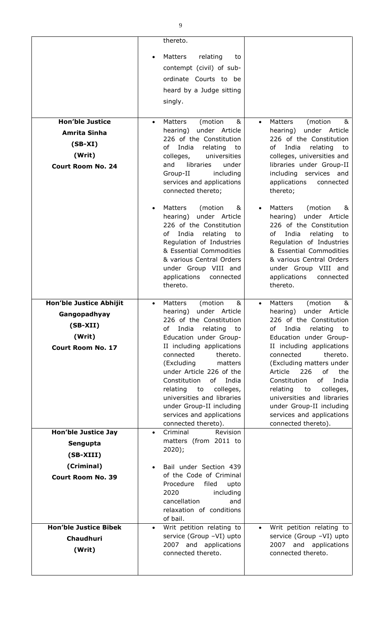|                                    | thereto.                                                 |                                                          |
|------------------------------------|----------------------------------------------------------|----------------------------------------------------------|
|                                    | Matters<br>relating<br>to<br>$\bullet$                   |                                                          |
|                                    | contempt (civil) of sub-                                 |                                                          |
|                                    | ordinate Courts to be                                    |                                                          |
|                                    | heard by a Judge sitting                                 |                                                          |
|                                    | singly.                                                  |                                                          |
| <b>Hon'ble Justice</b>             | (motion<br><b>Matters</b><br>&<br>$\bullet$              | (motion<br>Matters<br>&<br>$\bullet$                     |
| <b>Amrita Sinha</b>                | under Article<br>hearing)                                | under Article<br>hearing)                                |
| $(SB-XI)$                          | 226 of the Constitution<br>India<br>of<br>relating<br>to | 226 of the Constitution<br>of<br>India<br>relating<br>to |
| (Writ)                             | colleges,<br>universities                                | colleges, universities and                               |
| <b>Court Room No. 24</b>           | and<br>libraries<br>under<br>including<br>Group-II       | libraries under Group-II<br>including services and       |
|                                    | services and applications                                | applications<br>connected                                |
|                                    | connected thereto;                                       | thereto;                                                 |
|                                    | Matters<br>(motion<br>&<br>$\bullet$                     | Matters<br>(motion<br>&                                  |
|                                    | under Article<br>hearing)                                | under Article<br>hearing)                                |
|                                    | 226 of the Constitution<br>India<br>of<br>relating<br>to | 226 of the Constitution<br>of<br>India<br>relating<br>to |
|                                    | Regulation of Industries                                 | Regulation of Industries                                 |
|                                    | & Essential Commodities<br>& various Central Orders      | & Essential Commodities<br>& various Central Orders      |
|                                    | under Group VIII and                                     | under Group VIII and                                     |
|                                    | applications<br>connected                                | applications<br>connected<br>thereto.                    |
|                                    | thereto.                                                 |                                                          |
| Hon'ble Justice Abhijit            | Matters<br>(motion<br>&<br>$\bullet$                     | Matters<br>(motion<br>&                                  |
| Gangopadhyay                       | hearing) under Article<br>226 of the Constitution        | hearing) under Article<br>226 of the Constitution        |
| $(SB-XII)$                         | of India<br>relating to                                  | of India<br>relating to                                  |
| (Writ)<br><b>Court Room No. 17</b> | Education under Group-<br>II including applications      | Education under Group-<br>II including applications      |
|                                    | connected<br>thereto.                                    | connected<br>thereto.                                    |
|                                    | (Excluding<br>matters<br>under Article 226 of the        | (Excluding matters under<br>226<br>Article<br>of<br>the  |
|                                    | Constitution<br>of India                                 | of<br>Constitution<br>India                              |
|                                    | colleges,<br>relating<br>to                              | relating<br>colleges,<br>to                              |
|                                    | universities and libraries<br>under Group-II including   | universities and libraries<br>under Group-II including   |
|                                    | services and applications                                | services and applications                                |
| <b>Hon'ble Justice Jay</b>         | connected thereto).<br>Revision<br>Criminal<br>$\bullet$ | connected thereto).                                      |
| Sengupta                           | matters (from 2011 to                                    |                                                          |
| (SB-XIII)                          | 2020);                                                   |                                                          |
| (Criminal)                         | Bail under Section 439<br>$\bullet$                      |                                                          |
| <b>Court Room No. 39</b>           | of the Code of Criminal                                  |                                                          |
|                                    | Procedure<br>filed<br>upto<br>2020<br>including          |                                                          |
|                                    | cancellation<br>and                                      |                                                          |
|                                    | relaxation of conditions<br>of bail.                     |                                                          |
| <b>Hon'ble Justice Bibek</b>       | Writ petition relating to<br>$\bullet$                   | Writ petition relating to<br>$\bullet$                   |
| <b>Chaudhuri</b>                   | service (Group -VI) upto                                 | service (Group -VI) upto                                 |
| (Writ)                             | 2007 and applications<br>connected thereto.              | 2007 and applications<br>connected thereto.              |
|                                    |                                                          |                                                          |
|                                    |                                                          |                                                          |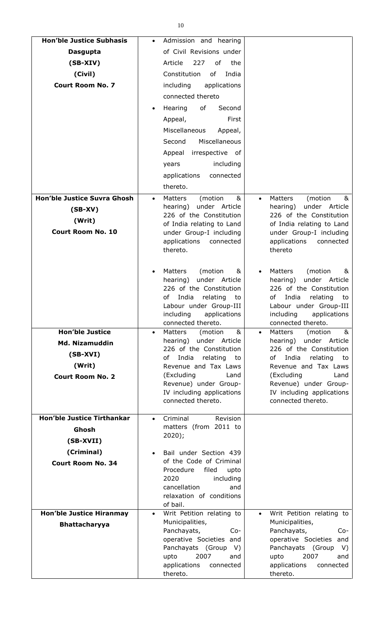| <b>Hon'ble Justice Subhasis</b>    | Admission and hearing<br>$\bullet$                             |                                                          |
|------------------------------------|----------------------------------------------------------------|----------------------------------------------------------|
| <b>Dasgupta</b>                    | of Civil Revisions under                                       |                                                          |
| $(SB-XIV)$                         | Article<br>227<br>of<br>the                                    |                                                          |
| (Civil)                            | Constitution<br>of<br>India                                    |                                                          |
| <b>Court Room No. 7</b>            | including<br>applications                                      |                                                          |
|                                    | connected thereto                                              |                                                          |
|                                    | Hearing<br>of<br>Second<br>$\bullet$                           |                                                          |
|                                    | First<br>Appeal,                                               |                                                          |
|                                    | Miscellaneous<br>Appeal,                                       |                                                          |
|                                    | Miscellaneous<br>Second                                        |                                                          |
|                                    | Appeal irrespective of                                         |                                                          |
|                                    | including<br>years                                             |                                                          |
|                                    | applications<br>connected                                      |                                                          |
|                                    | thereto.                                                       |                                                          |
| <b>Hon'ble Justice Suvra Ghosh</b> | Matters<br>(motion<br>&<br>$\bullet$                           | Matters<br>(motion<br>&<br>$\bullet$                     |
| $(SB-XV)$                          | hearing) under Article                                         | under Article<br>hearing)                                |
| (Writ)                             | 226 of the Constitution                                        | 226 of the Constitution                                  |
| <b>Court Room No. 10</b>           | of India relating to Land                                      | of India relating to Land                                |
|                                    | under Group-I including<br>applications<br>connected           | under Group-I including<br>applications<br>connected     |
|                                    | thereto.                                                       | thereto                                                  |
|                                    |                                                                |                                                          |
|                                    | Matters<br>(motion<br>&<br>$\bullet$                           | Matters<br>(motion<br>&<br>$\bullet$                     |
|                                    | under Article<br>hearing)                                      | under Article<br>hearing)                                |
|                                    | 226 of the Constitution<br>India<br>relating<br>of<br>to       | 226 of the Constitution<br>of<br>India<br>relating<br>to |
|                                    | Labour under Group-III                                         | Labour under Group-III                                   |
|                                    | including<br>applications                                      | including<br>applications                                |
|                                    | connected thereto.                                             | connected thereto.                                       |
| <b>Hon'ble Justice</b>             | &<br>(motion<br>Matters<br>$\bullet$<br>hearing) under Article | &<br>Matters<br>(motion<br>hearing)<br>under Article     |
| <b>Md. Nizamuddin</b>              | 226 of the Constitution                                        | 226 of the Constitution                                  |
| $(SB-XVI)$                         | of India<br>relating to                                        | of<br>India<br>relating<br>to                            |
| (Writ)                             | Revenue and Tax Laws                                           | Revenue and Tax Laws                                     |
| <b>Court Room No. 2</b>            | (Excluding<br>Land<br>Revenue) under Group-                    | (Excluding<br>Land<br>Revenue) under Group-              |
|                                    | IV including applications                                      | IV including applications                                |
|                                    | connected thereto.                                             | connected thereto.                                       |
| <b>Hon'ble Justice Tirthankar</b>  | Criminal<br>Revision                                           |                                                          |
| Ghosh                              | $\bullet$<br>matters (from 2011 to                             |                                                          |
|                                    | $2020$ ;                                                       |                                                          |
| (SB-XVII)                          |                                                                |                                                          |
| (Criminal)                         | Bail under Section 439<br>$\bullet$<br>of the Code of Criminal |                                                          |
| <b>Court Room No. 34</b>           | Procedure<br>filed<br>upto                                     |                                                          |
|                                    | 2020<br>including                                              |                                                          |
|                                    | cancellation<br>and                                            |                                                          |
|                                    | relaxation of conditions<br>of bail.                           |                                                          |
| <b>Hon'ble Justice Hiranmay</b>    | Writ Petition relating to<br>$\bullet$                         | Writ Petition relating to<br>$\bullet$                   |
| <b>Bhattacharyya</b>               | Municipalities,                                                | Municipalities,                                          |
|                                    | Panchayats,<br>$Co-$                                           | Panchayats,<br>$Co-$                                     |
|                                    | operative Societies and<br>Panchayats (Group<br>V)             | operative Societies and<br>Panchayats (Group<br>V)       |
|                                    | 2007<br>upto<br>and                                            | 2007<br>upto<br>and                                      |
|                                    | applications<br>connected                                      | applications<br>connected                                |
|                                    | thereto.                                                       | thereto.                                                 |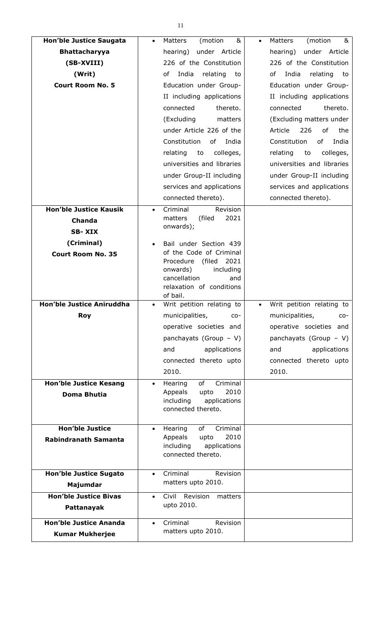| <b>Hon'ble Justice Saugata</b>   | Matters<br>(motion<br>&<br>$\bullet$                 | Matters<br>(motion<br>&<br>$\bullet$   |
|----------------------------------|------------------------------------------------------|----------------------------------------|
| <b>Bhattacharyya</b>             | under Article<br>hearing)                            | under Article<br>hearing)              |
| (SB-XVIII)                       | 226 of the Constitution                              | 226 of the Constitution                |
| (Writ)                           | India<br>relating<br>of<br>to                        | of<br>India<br>relating<br>to          |
| <b>Court Room No. 5</b>          | Education under Group-                               | Education under Group-                 |
|                                  | II including applications                            | II including applications              |
|                                  | connected<br>thereto.                                | connected<br>thereto.                  |
|                                  | (Excluding<br>matters                                | (Excluding matters under               |
|                                  | under Article 226 of the                             | 226<br>of<br>the<br>Article            |
|                                  | Constitution<br>of<br>India                          | Constitution<br>of<br>India            |
|                                  | colleges,<br>relating<br>to                          | relating<br>to<br>colleges,            |
|                                  | universities and libraries                           | universities and libraries             |
|                                  | under Group-II including                             | under Group-II including               |
|                                  | services and applications                            | services and applications              |
|                                  | connected thereto).                                  | connected thereto).                    |
| <b>Hon'ble Justice Kausik</b>    | Criminal<br>Revision<br>$\bullet$                    |                                        |
| <b>Chanda</b>                    | 2021<br>matters<br>(filed                            |                                        |
| <b>SB-XIX</b>                    | onwards);                                            |                                        |
| (Criminal)                       | Bail under Section 439<br>$\bullet$                  |                                        |
| <b>Court Room No. 35</b>         | of the Code of Criminal                              |                                        |
|                                  | (filed<br>2021<br>Procedure                          |                                        |
|                                  | onwards)<br>including<br>cancellation<br>and         |                                        |
|                                  | relaxation of conditions                             |                                        |
|                                  | of bail.                                             |                                        |
| <b>Hon'ble Justice Aniruddha</b> | Writ petition relating to<br>$\bullet$               | Writ petition relating to<br>$\bullet$ |
| <b>Roy</b>                       | municipalities,<br>CO-                               | municipalities,<br>CO-                 |
|                                  | operative societies and                              | operative societies and                |
|                                  | panchayats (Group - V)                               | panchayats (Group $-$ V)               |
|                                  | applications<br>and                                  | applications<br>and                    |
|                                  | connected thereto upto                               | connected thereto upto                 |
|                                  | 2010.                                                | 2010.                                  |
| <b>Hon'ble Justice Kesang</b>    | Criminal<br>of<br>Hearing<br>$\bullet$               |                                        |
| Doma Bhutia                      | 2010<br>Appeals<br>upto<br>including<br>applications |                                        |
|                                  | connected thereto.                                   |                                        |
|                                  |                                                      |                                        |
| <b>Hon'ble Justice</b>           | Criminal<br>of<br>Hearing<br>$\bullet$               |                                        |
| <b>Rabindranath Samanta</b>      | 2010<br>Appeals<br>upto<br>including<br>applications |                                        |
|                                  | connected thereto.                                   |                                        |
|                                  |                                                      |                                        |
| <b>Hon'ble Justice Sugato</b>    | Criminal<br>Revision<br>$\bullet$                    |                                        |
| Majumdar                         | matters upto 2010.                                   |                                        |
| <b>Hon'ble Justice Bivas</b>     | Civil Revision<br>matters<br>$\bullet$               |                                        |
| Pattanayak                       | upto 2010.                                           |                                        |
| <b>Hon'ble Justice Ananda</b>    | Criminal<br>Revision<br>$\bullet$                    |                                        |
| <b>Kumar Mukherjee</b>           | matters upto 2010.                                   |                                        |